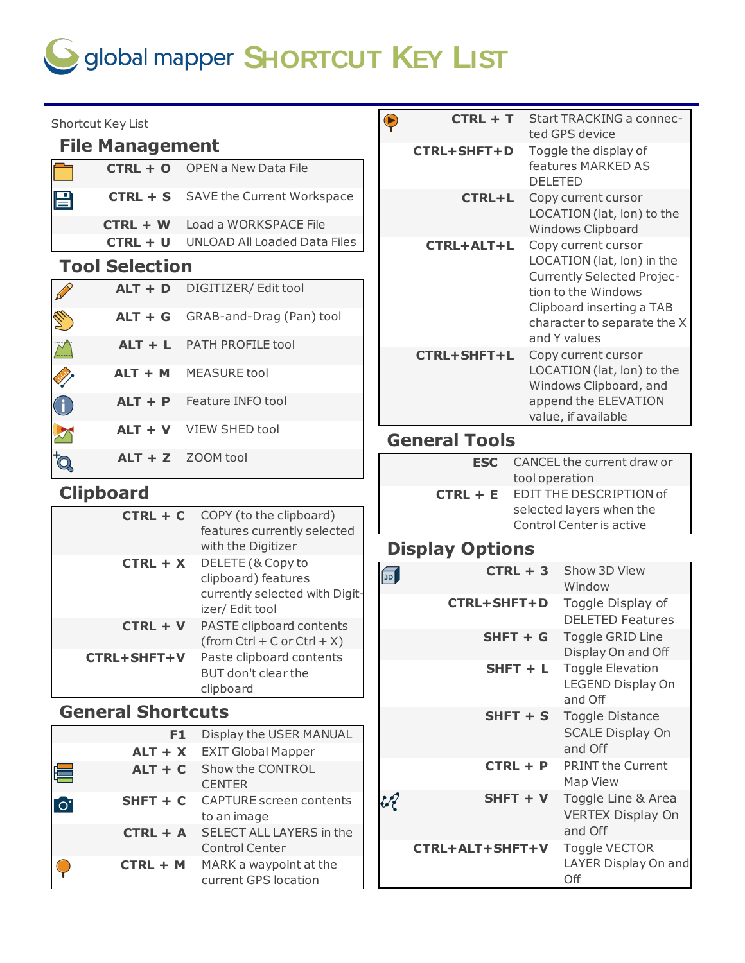# $\bigcirc$  global mapper **SHORTCUT** KEY LIST

| Shortcut Key List                     |                |                                                           | $\bullet$                     | $CTRL + T$             |                                           | Start TRACKING a connec-<br>ted GPS device                      |
|---------------------------------------|----------------|-----------------------------------------------------------|-------------------------------|------------------------|-------------------------------------------|-----------------------------------------------------------------|
| <b>File Management</b>                |                |                                                           | <b>CTRL+SHFT+D</b>            |                        | Toggle the display of                     |                                                                 |
| $CTRL + O$                            |                | <b>OPEN a New Data File</b>                               |                               |                        | <b>DELETED</b>                            | features MARKED AS                                              |
| $CTRL + S$<br>$\boxminus$             |                | SAVE the Current Workspace                                |                               | <b>CTRL+L</b>          |                                           | Copy current cursor<br>LOCATION (lat, lon) to the               |
| $CTRL + W$                            |                | Load a WORKSPACE File                                     |                               |                        |                                           | Windows Clipboard                                               |
| $CTRL + U$                            |                | <b>UNLOAD All Loaded Data Files</b>                       |                               | <b>CTRL+ALT+L</b>      |                                           | Copy current cursor                                             |
| <b>Tool Selection</b>                 |                |                                                           |                               |                        |                                           | LOCATION (lat, lon) in the<br><b>Currently Selected Projec-</b> |
| $ALT + D$<br>R                        |                | DIGITIZER/ Edit tool                                      |                               |                        |                                           | tion to the Windows                                             |
| $ALT + G$<br>E.                       |                | GRAB-and-Drag (Pan) tool                                  |                               |                        |                                           | Clipboard inserting a TAB<br>character to separate the X        |
| $ALT + L$<br>$\overline{\mathcal{L}}$ |                | PATH PROFILE tool                                         |                               | <b>CTRL+SHFT+L</b>     |                                           | and Y values<br>Copy current cursor                             |
| <b>ANY</b><br>$ALT + M$               |                | <b>MEASURE</b> tool                                       |                               |                        |                                           | LOCATION (lat, lon) to the<br>Windows Clipboard, and            |
| $ALT + P$<br>C                        |                | Feature INFO tool                                         |                               |                        |                                           | append the ELEVATION<br>value, if available                     |
| $ALT + V$<br>$\sum$                   |                | VIEW SHED tool                                            |                               | <b>General Tools</b>   |                                           |                                                                 |
| $ALT + Z$<br>to.                      |                | ZOOM tool                                                 |                               | <b>ESC</b>             |                                           | CANCEL the current draw or                                      |
| <b>Clipboard</b>                      |                |                                                           | $CTRL + E$                    |                        | tool operation<br>EDIT THE DESCRIPTION of |                                                                 |
|                                       | $CTRL + C$     | COPY (to the clipboard)                                   |                               |                        |                                           | selected layers when the                                        |
|                                       |                | features currently selected                               |                               |                        |                                           | Control Center is active                                        |
|                                       |                | with the Digitizer<br>DELETE (& Copy to                   |                               | <b>Display Options</b> |                                           |                                                                 |
|                                       | $CTRL + X$     | clipboard) features<br>currently selected with Digit-     | 可                             | $CTRL + 3$             |                                           | Show 3D View<br>Window                                          |
|                                       | $CTRL + V$     | izer/ Edit tool<br>PASTE clipboard contents               |                               | <b>CTRL+SHFT+D</b>     |                                           | Toggle Display of<br><b>DELETED Features</b>                    |
| <b>CTRL+SHFT+V</b>                    |                | $(from Ctrl + C or Ctrl + X)$<br>Paste clipboard contents |                               | $SHFT + G$             |                                           | Toggle GRID Line<br>Display On and Off                          |
|                                       |                | BUT don't clear the<br>clipboard                          |                               | $S HFT + L$            |                                           | <b>Toggle Elevation</b><br>LEGEND Display On<br>and Off         |
| <b>General Shortcuts</b>              |                |                                                           |                               | $S HFT + S$            |                                           | Toggle Distance                                                 |
|                                       | F <sub>1</sub> | Display the USER MANUAL                                   |                               |                        |                                           | <b>SCALE Display On</b>                                         |
|                                       | $ALT + X$      | <b>EXIT Global Mapper</b>                                 |                               |                        |                                           | and Off<br><b>PRINT the Current</b>                             |
| ⋿                                     | $ALT + C$      | Show the CONTROL<br><b>CENTER</b>                         |                               | $CTRL + P$             |                                           | Map View                                                        |
| $\overline{1}$                        | $S HFT + C$    | <b>CAPTURE</b> screen contents<br>to an image             | $\mathcal{U}^{\mathcal{J}}_k$ | $S HFT + V$            |                                           | Toggle Line & Area<br><b>VERTEX Display On</b>                  |
|                                       | $CTRL + A$     | SELECT ALL LAYERS in the<br><b>Control Center</b>         |                               | CTRL+ALT+SHFT+V        |                                           | and Off<br>Toggle VECTOR                                        |
|                                       | CTRL + M       | MARK a waypoint at the<br>current GPS location            |                               |                        |                                           | LAYER Display On and<br>Off                                     |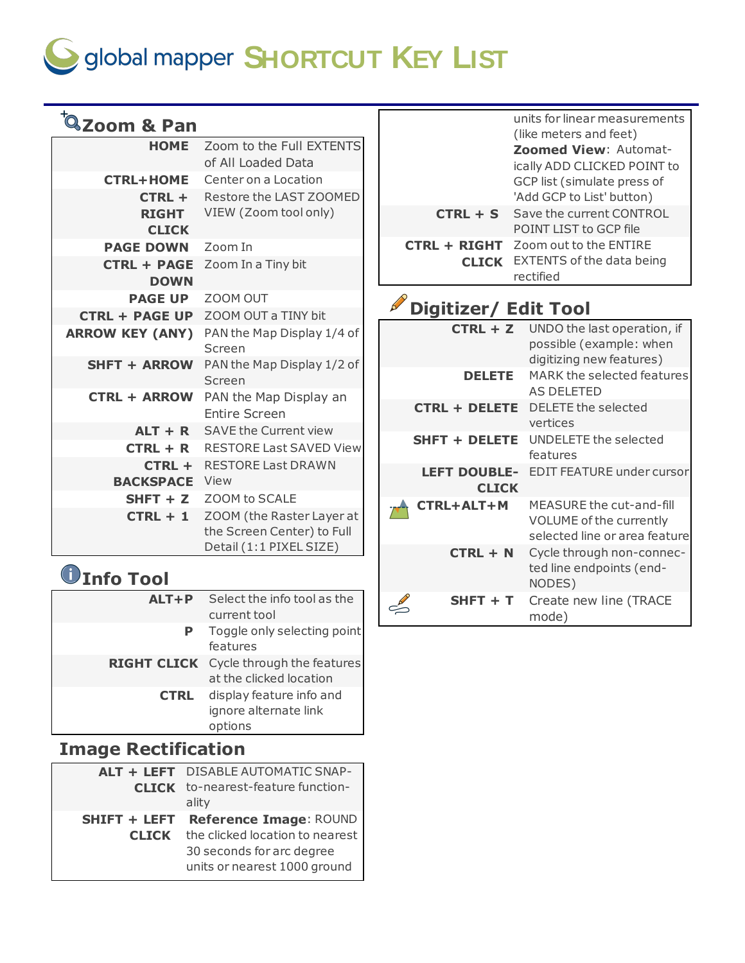# $\bigcirc$  global mapper **SHORTCUT** KEY LIST

| <sup>t</sup> Zoom & Pan           |                                                |                             | units for linear measurements<br>(like meters and feet) |
|-----------------------------------|------------------------------------------------|-----------------------------|---------------------------------------------------------|
| <b>HOME</b>                       | Zoom to the Full EXTENTS                       |                             | Zoomed View: Automat-                                   |
|                                   | of All Loaded Data                             |                             | ically ADD CLICKED POINT to                             |
| <b>CTRL+HOME</b>                  | Center on a Location                           |                             | GCP list (simulate press of                             |
| $CTRL +$                          | Restore the LAST ZOOMED                        |                             | 'Add GCP to List' button)                               |
| <b>RIGHT</b>                      | VIEW (Zoom tool only)                          | $CTRL + S$                  | Save the current CONTROL<br>POINT LIST to GCP file      |
| <b>CLICK</b><br><b>PAGE DOWN</b>  | Zoom In                                        | <b>CTRL + RIGHT</b>         | Zoom out to the ENTIRE                                  |
|                                   |                                                |                             | <b>CLICK</b> EXTENTS of the data being                  |
| <b>CTRL + PAGE</b><br><b>DOWN</b> | Zoom In a Tiny bit                             |                             | rectified                                               |
| <b>PAGE UP</b>                    | ZOOM OUT                                       |                             |                                                         |
| <b>CTRL + PAGE UP</b>             | ZOOM OUT a TINY bit                            | <b>Digitizer/ Edit Tool</b> |                                                         |
| <b>ARROW KEY (ANY)</b>            | PAN the Map Display 1/4 of                     | $CTRL + Z$                  | UNDO the last operation, if                             |
|                                   | Screen                                         |                             | possible (example: when                                 |
| <b>SHFT + ARROW</b>               | PAN the Map Display 1/2 of                     |                             | digitizing new features)                                |
|                                   | Screen                                         | <b>DELETE</b>               | MARK the selected features<br><b>AS DELETED</b>         |
| <b>CTRL + ARROW</b>               | PAN the Map Display an<br><b>Entire Screen</b> | <b>CTRL + DELETE</b>        | DELETE the selected                                     |
| $ALT + R$                         | <b>SAVE the Current view</b>                   |                             | vertices                                                |
| $CTRL + R$                        | <b>RESTORE Last SAVED View</b>                 | <b>SHFT + DELETE</b>        | UNDELETE the selected<br>features                       |
| CTRL +                            | <b>RESTORE Last DRAWN</b>                      | <b>LEFT DOUBLE-</b>         | <b>EDIT FEATURE under cursor</b>                        |
| <b>BACKSPACE</b> View             |                                                | <b>CLICK</b>                |                                                         |
| $S HFT + Z$                       | ZOOM to SCALE                                  | <b>CTRL+ALT+M</b>           | MEASURE the cut-and-fill                                |
| $CTRL + 1$                        | ZOOM (the Raster Layer at                      |                             | VOLUME of the currently                                 |
|                                   | the Screen Center) to Full                     |                             | selected line or area feature                           |
|                                   | Detail (1:1 PIXEL SIZE)                        | $CTRL + N$                  | Cycle through non-connec-                               |
|                                   |                                                |                             | ted line endpoints (end-                                |

 $\int_{0}^{\infty}$ 

NODES) **SHFT + T** Create new line (TRACE mode)

### **Info Tool**

| $ALT+P$     | Select the info tool as the<br>current tool                              |
|-------------|--------------------------------------------------------------------------|
|             | Toggle only selecting point<br>features                                  |
|             | <b>RIGHT CLICK</b> Cycle through the features<br>at the clicked location |
| <b>CTRL</b> | display feature info and<br>ignore alternate link<br>options             |

### **Image Rectification**

| ALT + LEFT DISABLE AUTOMATIC SNAP-                 |
|----------------------------------------------------|
| <b>CLICK</b> to-nearest-feature function-<br>ality |
|                                                    |
| Reference Image: ROUND<br><b>SHIFT + LEFT</b>      |
| the clicked location to nearest                    |
| 30 seconds for arc degree                          |
| units or nearest 1000 ground                       |
|                                                    |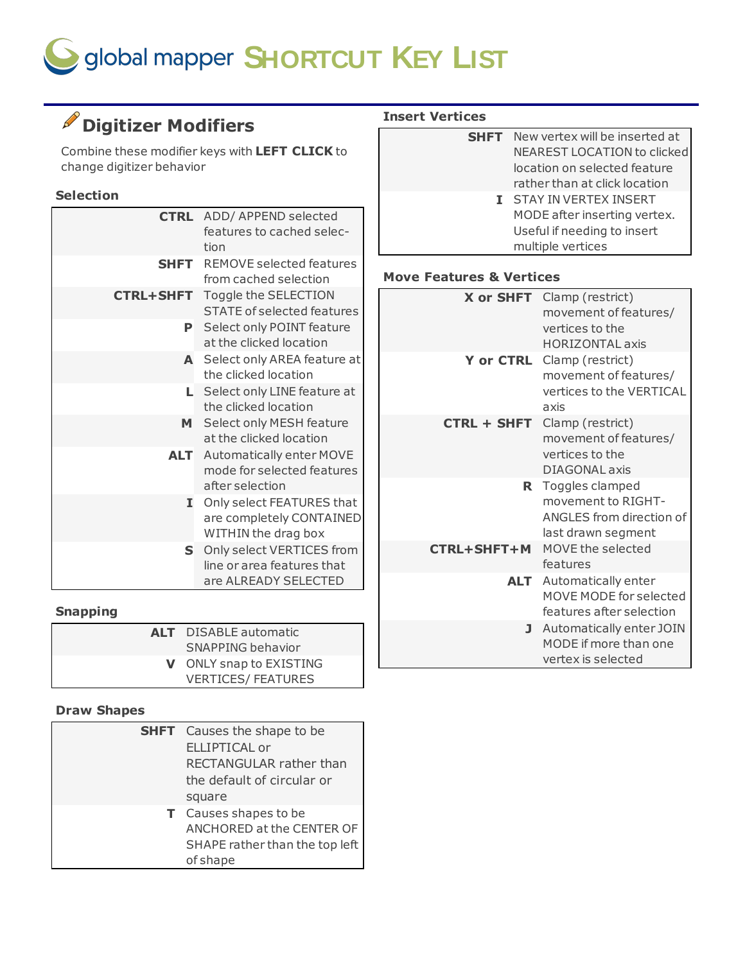# $\bigcirc$  global mapper **SHORTCUT** KEY LIST

### **Digitizer Modifiers**

Combine these modifier keys with **LEFT CLICK** to change digitizer behavior

#### **Selection**

|                  | <b>CTRL</b> ADD/ APPEND selected  |
|------------------|-----------------------------------|
|                  | features to cached selec-         |
|                  | tion                              |
| SHFT             | <b>REMOVE selected features</b>   |
|                  | from cached selection             |
| <b>CTRL+SHFT</b> | Toggle the SELECTION              |
|                  | <b>STATE of selected features</b> |
| P.               | Select only POINT feature         |
|                  | at the clicked location           |
|                  | A Select only AREA feature at     |
|                  | the clicked location              |
| L.               | Select only LINE feature at       |
|                  | the clicked location              |
| M                | Select only MESH feature          |
|                  | at the clicked location           |
| ALT I            | Automatically enter MOVE          |
|                  | mode for selected features        |
|                  | after selection                   |
| I.               | Only select FEATURES that         |
|                  | are completely CONTAINED          |
|                  | WITHIN the drag box               |
| S.               | Only select VERTICES from         |
|                  | line or area features that        |
|                  | are ALREADY SELECTED              |

#### **Snapping**

| <b>ALT</b> DISABLE automatic<br>SNAPPING behavior          |
|------------------------------------------------------------|
| <b>V</b> ONLY snap to EXISTING<br><b>VERTICES/FEATURES</b> |

#### **Draw Shapes**

| <b>SHFT</b> Causes the shape to be |
|------------------------------------|
| <b>ELLIPTICAL or</b>               |
| RECTANGULAR rather than            |
| the default of circular or         |
| square                             |
| T Causes shapes to be              |
| ANCHORED at the CENTER OF          |
| SHAPE rather than the top left     |
| of shape                           |

#### **Insert Vertices**

| <b>SHFT</b> New vertex will be inserted at<br>NEAREST LOCATION to clicked<br>location on selected feature<br>rather than at click location |
|--------------------------------------------------------------------------------------------------------------------------------------------|
|                                                                                                                                            |
| I STAY IN VERTEX INSERT                                                                                                                    |
| MODE after inserting vertex.                                                                                                               |
| Useful if needing to insert                                                                                                                |
| multiple vertices                                                                                                                          |
|                                                                                                                                            |
|                                                                                                                                            |

#### **Move Features & Vertices**

| X or SHFT        | Clamp (restrict)<br>movement of features/ |
|------------------|-------------------------------------------|
|                  | vertices to the                           |
|                  | <b>HORIZONTAL axis</b>                    |
| <b>Y</b> or CTRL | Clamp (restrict)                          |
|                  | movement of features/                     |
|                  | vertices to the VERTICAL                  |
|                  | axis                                      |
| CTRL + SHFT      | Clamp (restrict)                          |
|                  | movement of features/                     |
|                  | vertices to the                           |
|                  | DIAGONAL axis                             |
|                  | R Toggles clamped                         |
|                  | movement to RIGHT-                        |
|                  | ANGLES from direction of                  |
|                  | last drawn segment                        |
| CTRL+SHFT+M      | MOVE the selected                         |
|                  | features                                  |
|                  | <b>ALT</b> Automatically enter            |
|                  | MOVE MODE for selected                    |
|                  | features after selection                  |
| J.               | Automatically enter JOIN                  |
|                  | MODE if more than one                     |
|                  | vertex is selected                        |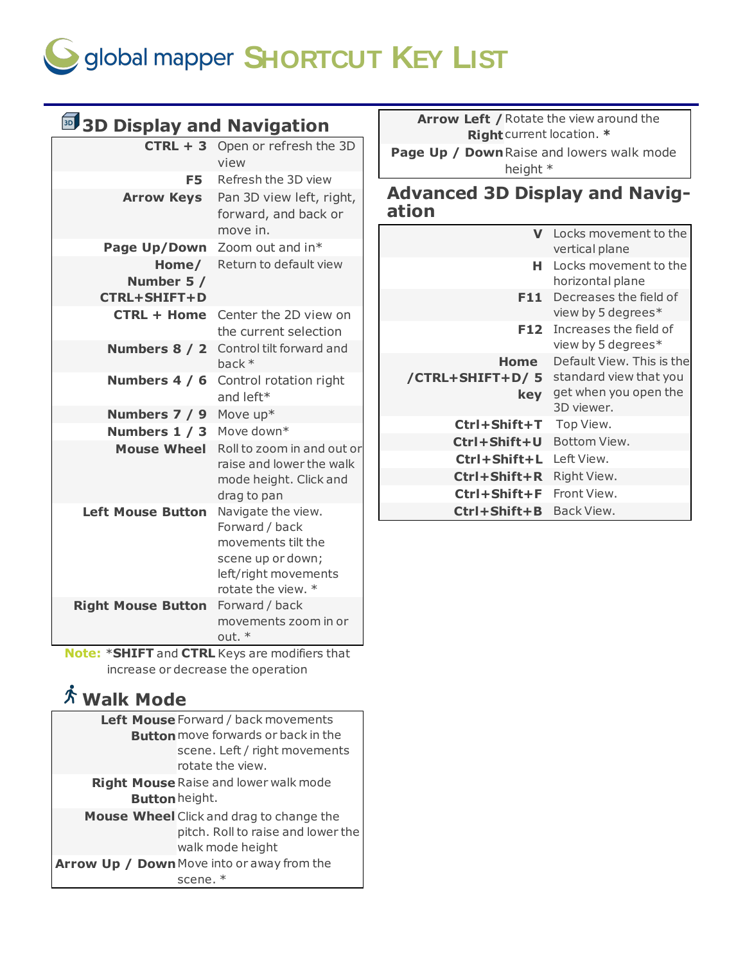

| <b>5 3D Display and Navigation</b>   |                                                                                              | Arrow Left / Rotate the view around the<br>Right current location. * |                                                  |
|--------------------------------------|----------------------------------------------------------------------------------------------|----------------------------------------------------------------------|--------------------------------------------------|
| F <sub>5</sub>                       | $CTRL + 3$ Open or refresh the 3D<br>view<br>Refresh the 3D view                             | Page Up / Down Raise and lowers walk mode<br>height *                |                                                  |
| <b>Arrow Keys</b>                    | Pan 3D view left, right,<br>forward, and back or                                             | <b>Advanced 3D Display and Navig-</b><br>ation                       |                                                  |
|                                      | move in.                                                                                     |                                                                      | V Locks movement to the                          |
|                                      | Page Up/Down Zoom out and in*                                                                |                                                                      | vertical plane                                   |
| Home/<br>Number 5 /                  | Return to default view                                                                       |                                                                      | H Locks movement to the<br>horizontal plane      |
| <b>CTRL+SHIFT+D</b>                  | <b>CTRL + Home</b> Center the 2D view on                                                     |                                                                      | F11 Decreases the field of<br>view by 5 degrees* |
|                                      | the current selection<br><b>Numbers 8 / 2</b> Control tilt forward and                       |                                                                      | F12 Increases the field of<br>view by 5 degrees* |
|                                      | back *                                                                                       | Home                                                                 | Default View. This is the                        |
|                                      | <b>Numbers 4 / 6</b> Control rotation right<br>and left*                                     | /CTRL+SHIFT+D/5<br>key                                               | standard view that you<br>get when you open the  |
| Numbers 7 / 9                        | Move $up*$                                                                                   |                                                                      | 3D viewer.                                       |
| Numbers 1 / 3 Move down*             |                                                                                              | Ctrl+Shift+T                                                         | Top View.                                        |
|                                      | Mouse Wheel Roll to zoom in and out or<br>raise and lower the walk<br>mode height. Click and | Ctrl+Shift+U                                                         | Bottom View.                                     |
|                                      |                                                                                              | Ctrl+Shift+L Left View.                                              |                                                  |
|                                      |                                                                                              | Ctrl+Shift+R Right View.                                             |                                                  |
|                                      | drag to pan                                                                                  | Ctrl+Shift+F                                                         | Front View.                                      |
| Left Mouse Button Navigate the view. | Forward / back                                                                               | Ctrl+Shift+B Back View.                                              |                                                  |
|                                      | movements tilt the<br>scene up or down;<br>left/right movements<br>rotate the view. *        |                                                                      |                                                  |
| <b>Right Mouse Button</b>            | Forward / back<br>movements zoom in or<br>out. *                                             |                                                                      |                                                  |

**Note:** \***SHIFT** and **CTRL** Keys are modifiers that increase or decrease the operation

### **Walk Mode**

|                | Left Mouse Forward / back movements                                                                |
|----------------|----------------------------------------------------------------------------------------------------|
|                | <b>Button</b> move forwards or back in the                                                         |
|                | scene. Left / right movements                                                                      |
|                | rotate the view.                                                                                   |
|                | <b>Right Mouse Raise and lower walk mode</b>                                                       |
| Button height. |                                                                                                    |
|                | Mouse Wheel Click and drag to change the<br>pitch. Roll to raise and lower the<br>walk mode height |
|                | Arrow Up / Down Move into or away from the                                                         |
|                | scene. $*$                                                                                         |

## **Advanced 3D Display and Navig-**

|                                | Locks movement to the<br>vertical plane                                                    |
|--------------------------------|--------------------------------------------------------------------------------------------|
| н.                             | Locks movement to the<br>horizontal plane                                                  |
| F11.                           | Decreases the field of<br>view by 5 degrees*                                               |
| F12.                           | Increases the field of<br>view by 5 degrees*                                               |
| Home<br>/CTRL+SHIFT+D/5<br>key | Default View. This is the<br>standard view that you<br>get when you open the<br>3D viewer. |
| $Ctrl + Shift + T$             | Top View.                                                                                  |
| Ctrl+Shift+U                   | Bottom View.                                                                               |
| $Ctrl + Shift + L$             | Left View.                                                                                 |
| $Ctrl + Shift + R$             | Right View.                                                                                |
| $Ctrl + Shift + F$             | Front View.                                                                                |
| Ctrl+Shift+B                   | Back View.                                                                                 |